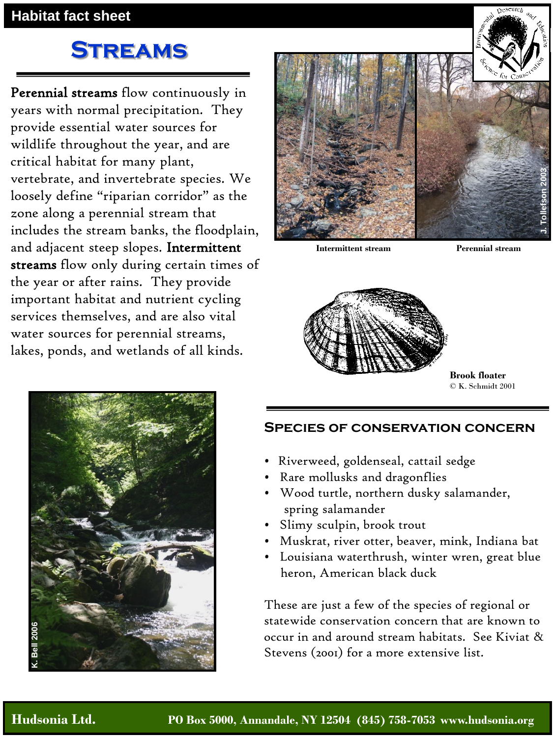## **Streams**

Perennial streams flow continuously in years with normal precipitation. They provide essential water sources for wildlife throughout the year, and are critical habitat for many plant, vertebrate, and invertebrate species. We loosely define "riparian corridor" as the zone along a perennial stream that includes the stream banks, the floodplain, and adjacent steep slopes. Intermittent streams flow only during certain times of the year or after rains. They provide important habitat and nutrient cycling services themselves, and are also vital water sources for perennial streams, lakes, ponds, and wetlands of all kinds.



**Intermittent stream Perennial stream**



**Brook floater**  © K. Schmidt 2001



- Riverweed, goldenseal, cattail sedge
- Rare mollusks and dragonflies
- Wood turtle, northern dusky salamander, spring salamander
- Slimy sculpin, brook trout
- Muskrat, river otter, beaver, mink, Indiana bat
- Louisiana waterthrush, winter wren, great blue heron, American black duck

These are just a few of the species of regional or statewide conservation concern that are known to occur in and around stream habitats. See Kiviat & Stevens (2001) for a more extensive list.